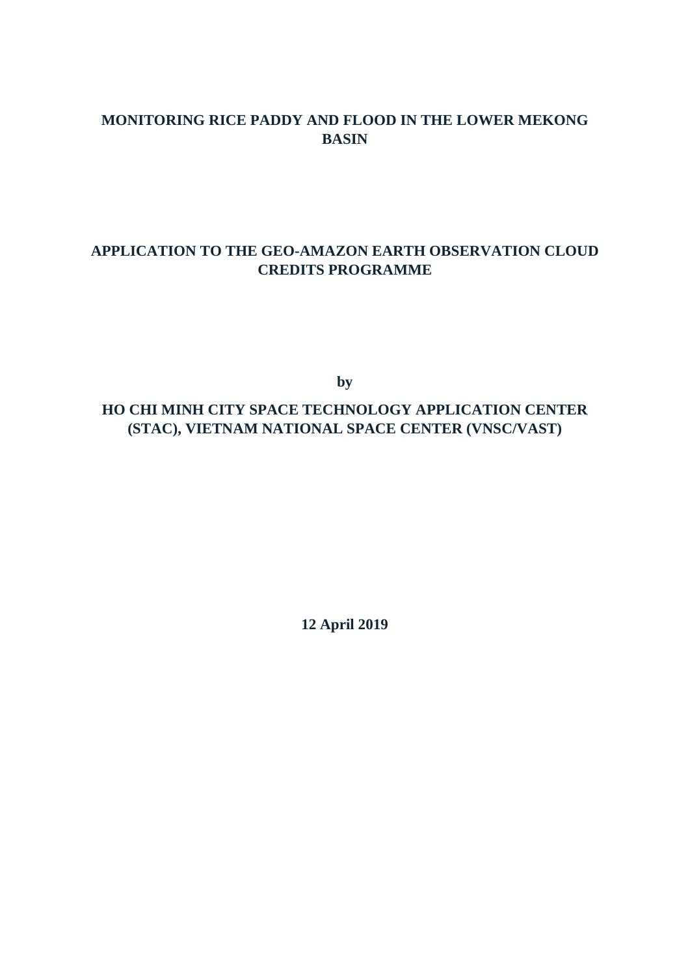# **MONITORING RICE PADDY AND FLOOD IN THE LOWER MEKONG BASIN**

## **APPLICATION TO THE GEO-AMAZON EARTH OBSERVATION CLOUD CREDITS PROGRAMME**

**by**

# **HO CHI MINH CITY SPACE TECHNOLOGY APPLICATION CENTER (STAC), VIETNAM NATIONAL SPACE CENTER (VNSC/VAST)**

**12 April 2019**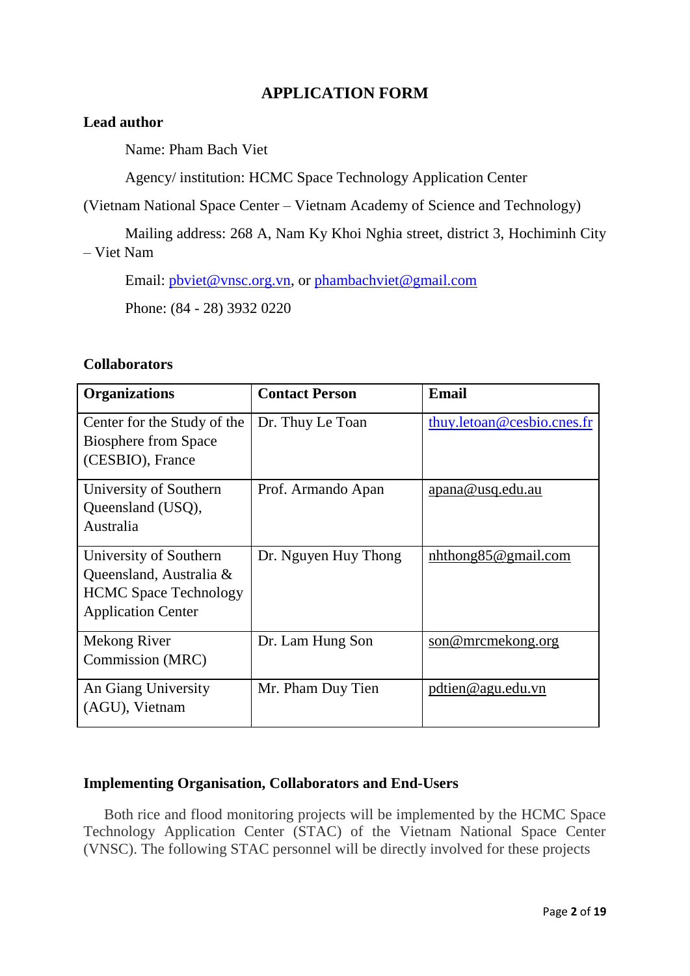# **APPLICATION FORM**

#### **Lead author**

Name: Pham Bach Viet

Agency/ institution: HCMC Space Technology Application Center

(Vietnam National Space Center – Vietnam Academy of Science and Technology)

Mailing address: 268 A, Nam Ky Khoi Nghia street, district 3, Hochiminh City – Viet Nam

Email: [pbviet@vnsc.org.vn,](mailto:pbviet@vnsc.org.vn) or [phambachviet@gmail.com](mailto:phambachviet@gmail.com)

Phone: (84 - 28) 3932 0220

### **Collaborators**

| <b>Organizations</b>                                                                                           | <b>Contact Person</b> | <b>Email</b>                |
|----------------------------------------------------------------------------------------------------------------|-----------------------|-----------------------------|
| Center for the Study of the<br><b>Biosphere from Space</b><br>(CESBIO), France                                 | Dr. Thuy Le Toan      | thuy.letoan@cesbio.cnes.fr  |
| University of Southern<br>Queensland (USQ),<br>Australia                                                       | Prof. Armando Apan    | apana@usq.edu.au            |
| University of Southern<br>Queensland, Australia &<br><b>HCMC Space Technology</b><br><b>Application Center</b> | Dr. Nguyen Huy Thong  | $n$ hthong $85$ @ gmail.com |
| Mekong River<br>Commission (MRC)                                                                               | Dr. Lam Hung Son      | son@mrcmekong.org           |
| An Giang University<br>(AGU), Vietnam                                                                          | Mr. Pham Duy Tien     | pdtien@agu.edu.vn           |

### **Implementing Organisation, Collaborators and End-Users**

Both rice and flood monitoring projects will be implemented by the HCMC Space Technology Application Center (STAC) of the Vietnam National Space Center (VNSC). The following STAC personnel will be directly involved for these projects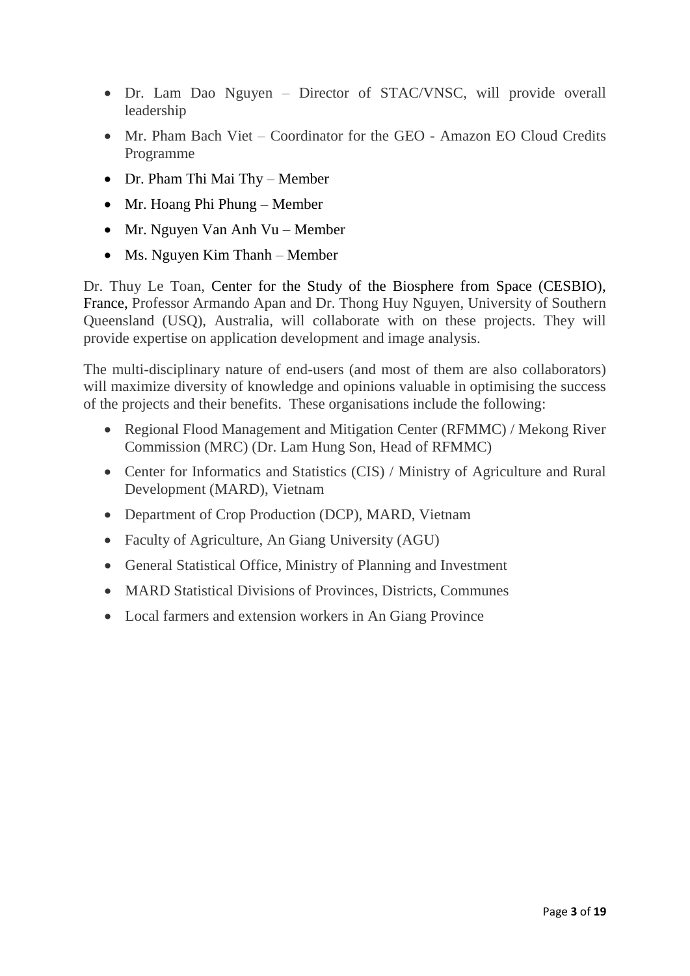- Dr. Lam Dao Nguyen Director of STAC/VNSC, will provide overall leadership
- Mr. Pham Bach Viet Coordinator for the GEO Amazon EO Cloud Credits Programme
- Dr. Pham Thi Mai Thy Member
- Mr. Hoang Phi Phung Member
- Mr. Nguyen Van Anh Vu Member
- Ms. Nguyen Kim Thanh Member

Dr. Thuy Le Toan, Center for the Study of the Biosphere from Space (CESBIO), France, Professor Armando Apan and Dr. Thong Huy Nguyen, University of Southern Queensland (USQ), Australia, will collaborate with on these projects. They will provide expertise on application development and image analysis.

The multi-disciplinary nature of end-users (and most of them are also collaborators) will maximize diversity of knowledge and opinions valuable in optimising the success of the projects and their benefits. These organisations include the following:

- Regional Flood Management and Mitigation Center (RFMMC) / Mekong River Commission (MRC) (Dr. Lam Hung Son, Head of RFMMC)
- Center for Informatics and Statistics (CIS) / Ministry of Agriculture and Rural Development (MARD), Vietnam
- Department of Crop Production (DCP), MARD, Vietnam
- Faculty of Agriculture, An Giang University (AGU)
- General Statistical Office, Ministry of Planning and Investment
- MARD Statistical Divisions of Provinces, Districts, Communes
- Local farmers and extension workers in An Giang Province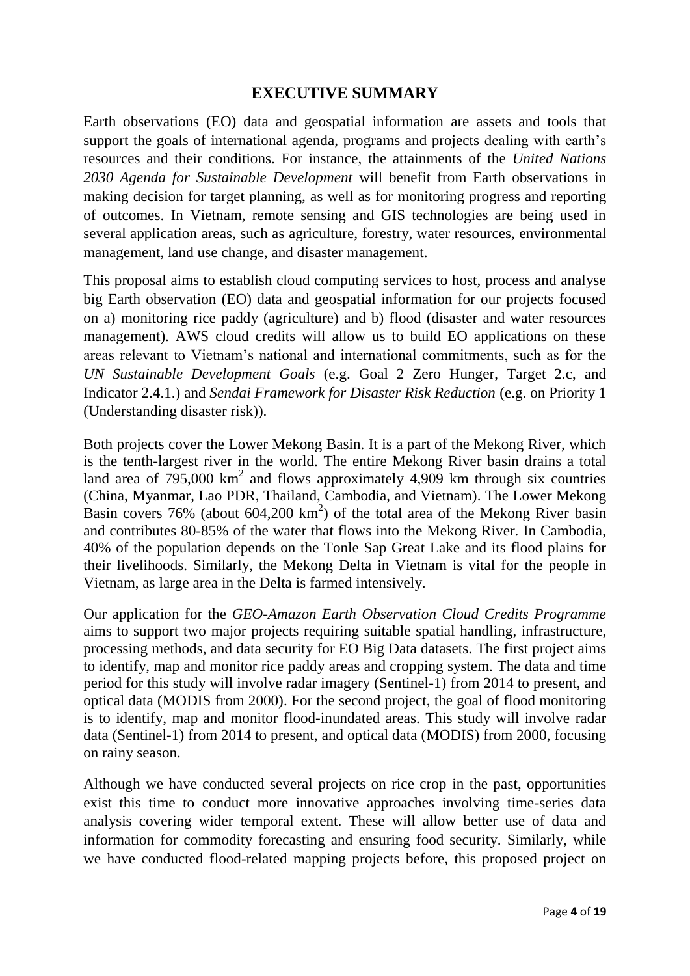## **EXECUTIVE SUMMARY**

Earth observations (EO) data and geospatial information are assets and tools that support the goals of international agenda, programs and projects dealing with earth's resources and their conditions. For instance, the attainments of the *United Nations 2030 Agenda for Sustainable Development* will benefit from Earth observations in making decision for target planning, as well as for monitoring progress and reporting of outcomes. In Vietnam, remote sensing and GIS technologies are being used in several application areas, such as agriculture, forestry, water resources, environmental management, land use change, and disaster management.

This proposal aims to establish cloud computing services to host, process and analyse big Earth observation (EO) data and geospatial information for our projects focused on a) monitoring rice paddy (agriculture) and b) flood (disaster and water resources management). AWS cloud credits will allow us to build EO applications on these areas relevant to Vietnam's national and international commitments, such as for the *UN Sustainable Development Goals* (e.g. Goal 2 Zero Hunger, Target 2.c, and Indicator 2.4.1.) and *Sendai Framework for Disaster Risk Reduction* (e.g. on Priority 1 (Understanding disaster risk)).

Both projects cover the Lower Mekong Basin. It is a part of the Mekong River, which is the tenth-largest river in the world. The entire Mekong River basin drains a total land area of  $795,000 \text{ km}^2$  and flows approximately 4,909 km through six countries (China, Myanmar, Lao PDR, Thailand, Cambodia, and Vietnam). The Lower Mekong Basin covers 76% (about  $604,200 \text{ km}^2$ ) of the total area of the Mekong River basin and contributes 80-85% of the water that flows into the Mekong River. In Cambodia, 40% of the population depends on the Tonle Sap Great Lake and its flood plains for their livelihoods. Similarly, the Mekong Delta in Vietnam is vital for the people in Vietnam, as large area in the Delta is farmed intensively.

Our application for the *GEO-Amazon Earth Observation Cloud Credits Programme* aims to support two major projects requiring suitable spatial handling, infrastructure, processing methods, and data security for EO Big Data datasets. The first project aims to identify, map and monitor rice paddy areas and cropping system. The data and time period for this study will involve radar imagery (Sentinel-1) from 2014 to present, and optical data (MODIS from 2000). For the second project, the goal of flood monitoring is to identify, map and monitor flood-inundated areas. This study will involve radar data (Sentinel-1) from 2014 to present, and optical data (MODIS) from 2000, focusing on rainy season.

Although we have conducted several projects on rice crop in the past, opportunities exist this time to conduct more innovative approaches involving time-series data analysis covering wider temporal extent. These will allow better use of data and information for commodity forecasting and ensuring food security. Similarly, while we have conducted flood-related mapping projects before, this proposed project on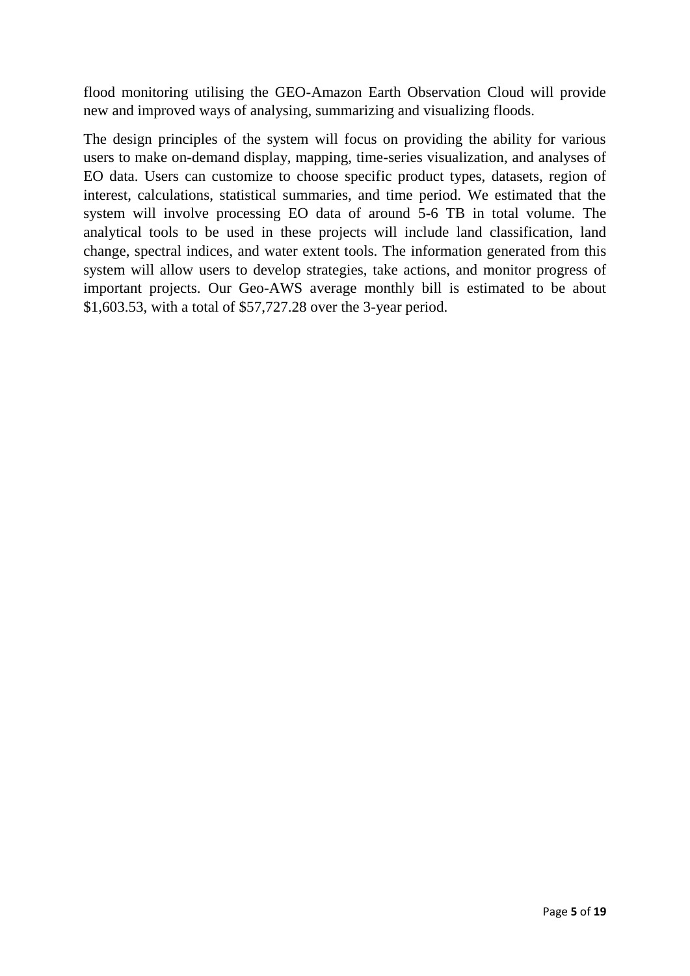flood monitoring utilising the GEO-Amazon Earth Observation Cloud will provide new and improved ways of analysing, summarizing and visualizing floods.

The design principles of the system will focus on providing the ability for various users to make on-demand display, mapping, time-series visualization, and analyses of EO data. Users can customize to choose specific product types, datasets, region of interest, calculations, statistical summaries, and time period. We estimated that the system will involve processing EO data of around 5-6 TB in total volume. The analytical tools to be used in these projects will include land classification, land change, spectral indices, and water extent tools. The information generated from this system will allow users to develop strategies, take actions, and monitor progress of important projects. Our Geo-AWS average monthly bill is estimated to be about \$1,603.53, with a total of \$57,727.28 over the 3-year period.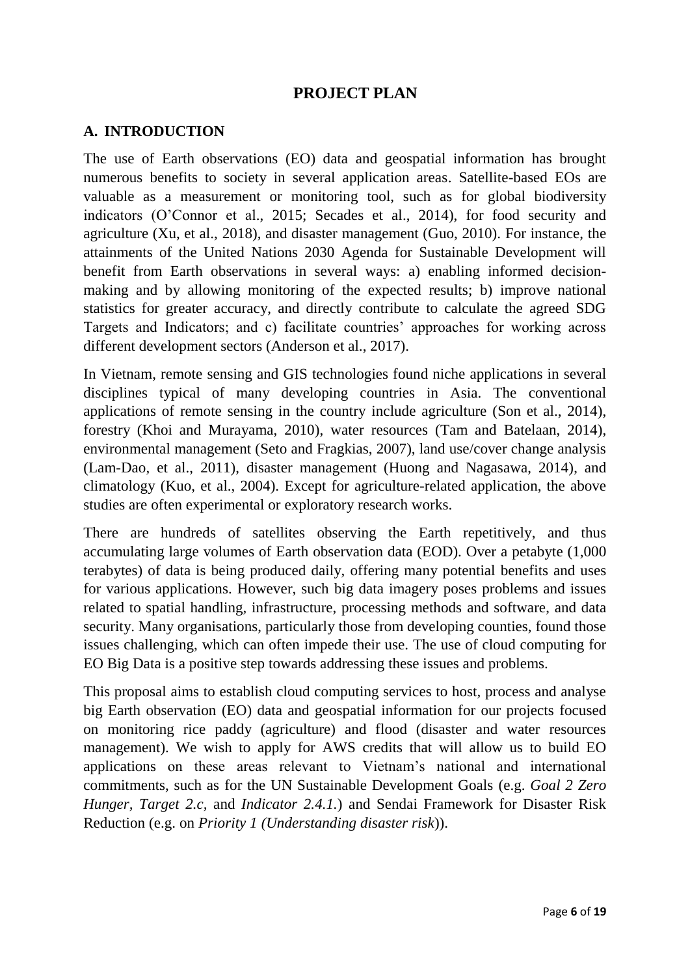# **PROJECT PLAN**

#### **A. INTRODUCTION**

The use of Earth observations (EO) data and geospatial information has brought numerous benefits to society in several application areas. Satellite-based EOs are valuable as a measurement or monitoring tool, such as for global biodiversity indicators (O'Connor et al., 2015; Secades et al., 2014), for food security and agriculture (Xu, et al., 2018), and disaster management (Guo, 2010). For instance, the attainments of the United Nations 2030 Agenda for Sustainable Development will benefit from Earth observations in several ways: a) enabling informed decisionmaking and by allowing monitoring of the expected results; b) improve national statistics for greater accuracy, and directly contribute to calculate the agreed SDG Targets and Indicators; and c) facilitate countries' approaches for working across different development sectors (Anderson et al., 2017).

In Vietnam, remote sensing and GIS technologies found niche applications in several disciplines typical of many developing countries in Asia. The conventional applications of remote sensing in the country include agriculture (Son et al., 2014), forestry (Khoi and Murayama, 2010), water resources (Tam and Batelaan, 2014), environmental management (Seto and Fragkias, 2007), land use/cover change analysis (Lam-Dao, et al., 2011), disaster management (Huong and Nagasawa, 2014), and climatology (Kuo, et al., 2004). Except for agriculture-related application, the above studies are often experimental or exploratory research works.

There are hundreds of satellites observing the Earth repetitively, and thus accumulating large volumes of Earth observation data (EOD). Over a petabyte (1,000 terabytes) of data is being produced daily, offering many potential benefits and uses for various applications. However, such big data imagery poses problems and issues related to spatial handling, infrastructure, processing methods and software, and data security. Many organisations, particularly those from developing counties, found those issues challenging, which can often impede their use. The use of cloud computing for EO Big Data is a positive step towards addressing these issues and problems.

This proposal aims to establish cloud computing services to host, process and analyse big Earth observation (EO) data and geospatial information for our projects focused on monitoring rice paddy (agriculture) and flood (disaster and water resources management). We wish to apply for AWS credits that will allow us to build EO applications on these areas relevant to Vietnam's national and international commitments, such as for the UN Sustainable Development Goals (e.g. *Goal 2 Zero Hunger, Target 2.c, and Indicator 2.4.1.*) and Sendai Framework for Disaster Risk Reduction (e.g. on *Priority 1 (Understanding disaster risk*)).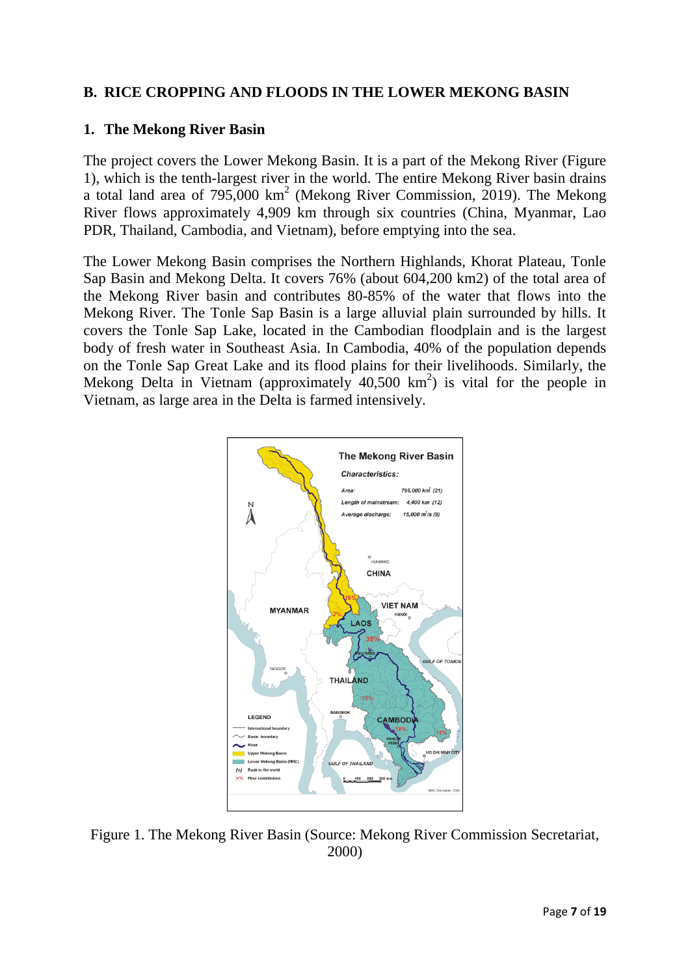### **B. RICE CROPPING AND FLOODS IN THE LOWER MEKONG BASIN**

#### **1. The Mekong River Basin**

The project covers the Lower Mekong Basin. It is a part of the Mekong River (Figure 1), which is the tenth-largest river in the world. The entire Mekong River basin drains a total land area of  $795,000 \text{ km}^2$  (Mekong River Commission, 2019). The Mekong River flows approximately 4,909 km through six countries (China, Myanmar, Lao PDR, Thailand, Cambodia, and Vietnam), before emptying into the sea.

The Lower Mekong Basin comprises the Northern Highlands, Khorat Plateau, Tonle Sap Basin and Mekong Delta. It covers 76% (about 604,200 km2) of the total area of the Mekong River basin and contributes 80-85% of the water that flows into the Mekong River. The Tonle Sap Basin is a large alluvial plain surrounded by hills. It covers the Tonle Sap Lake, located in the Cambodian floodplain and is the largest body of fresh water in Southeast Asia. In Cambodia, 40% of the population depends on the Tonle Sap Great Lake and its flood plains for their livelihoods. Similarly, the Mekong Delta in Vietnam (approximately  $40,500 \text{ km}^2$ ) is vital for the people in Vietnam, as large area in the Delta is farmed intensively.



Figure 1. The Mekong River Basin (Source: Mekong River Commission Secretariat, 2000)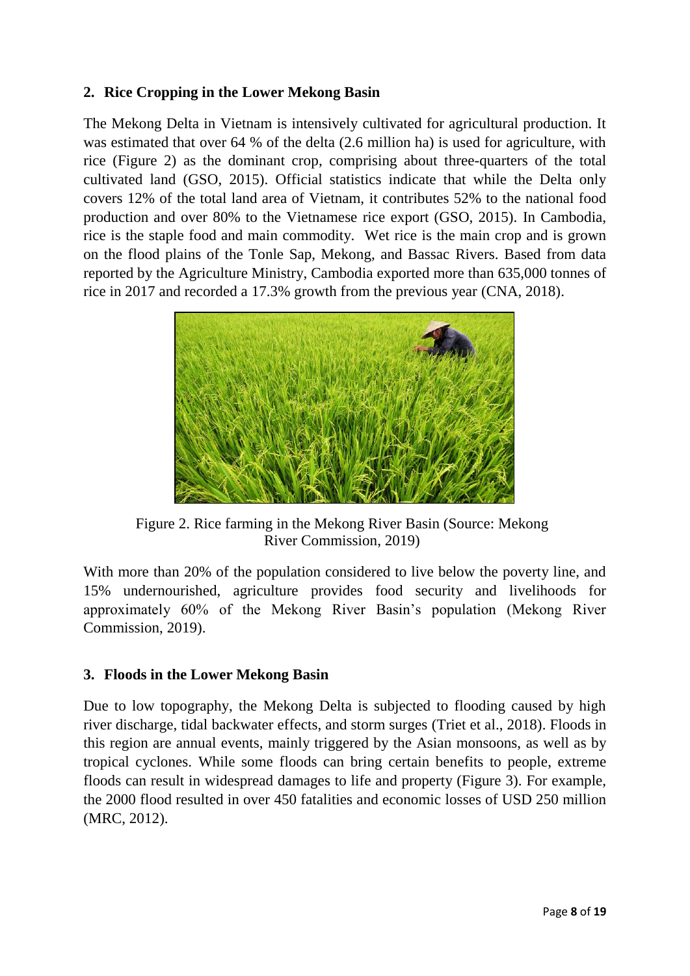## **2. Rice Cropping in the Lower Mekong Basin**

The Mekong Delta in Vietnam is intensively cultivated for agricultural production. It was estimated that over 64 % of the delta (2.6 million ha) is used for agriculture, with rice (Figure 2) as the dominant crop, comprising about three-quarters of the total cultivated land (GSO, 2015). Official statistics indicate that while the Delta only covers 12% of the total land area of Vietnam, it contributes 52% to the national food production and over 80% to the Vietnamese rice export (GSO, 2015). In Cambodia, rice is the staple food and main commodity. Wet rice is the main crop and is grown on the flood plains of the Tonle Sap, Mekong, and Bassac Rivers. Based from data reported by the Agriculture Ministry, Cambodia exported more than 635,000 tonnes of rice in 2017 and recorded a 17.3% growth from the previous year (CNA, 2018).



Figure 2. Rice farming in the Mekong River Basin (Source: Mekong River Commission, 2019)

With more than 20% of the population considered to live below the poverty line, and 15% undernourished, agriculture provides food security and livelihoods for approximately 60% of the Mekong River Basin's population (Mekong River Commission, 2019).

### **3. Floods in the Lower Mekong Basin**

Due to low topography, the Mekong Delta is subjected to flooding caused by high river discharge, tidal backwater effects, and storm surges (Triet et al., 2018). Floods in this region are annual events, mainly triggered by the Asian monsoons, as well as by tropical cyclones. While some floods can bring certain benefits to people, extreme floods can result in widespread damages to life and property (Figure 3). For example, the 2000 flood resulted in over 450 fatalities and economic losses of USD 250 million (MRC, 2012).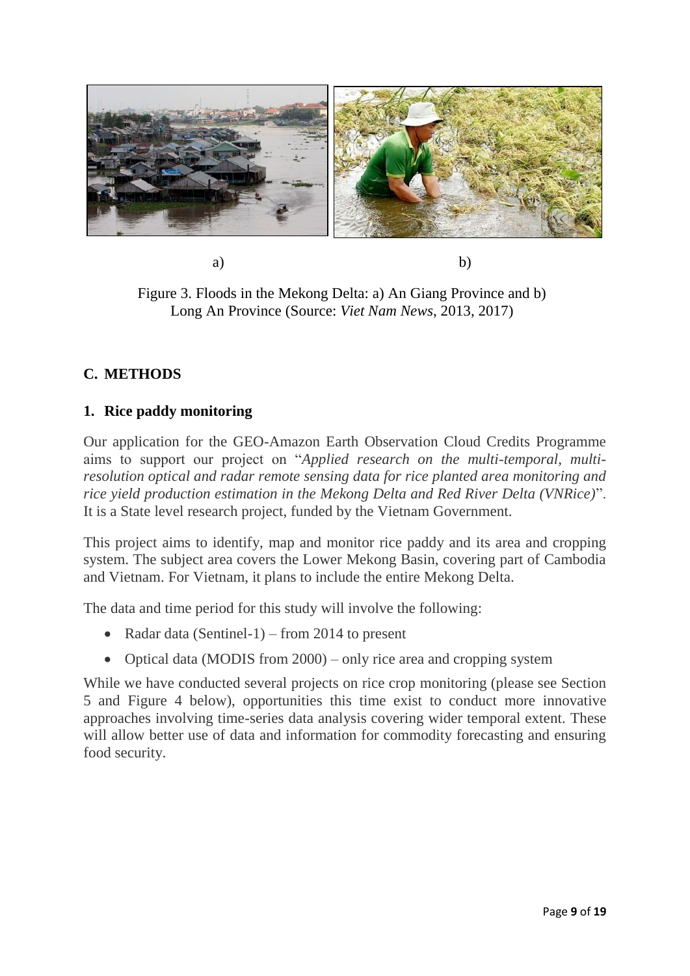

a) b)

Figure 3. Floods in the Mekong Delta: a) An Giang Province and b) Long An Province (Source: *Viet Nam News*, 2013, 2017)

# **C. METHODS**

## **1. Rice paddy monitoring**

Our application for the GEO-Amazon Earth Observation Cloud Credits Programme aims to support our project on "*Applied research on the multi-temporal, multiresolution optical and radar remote sensing data for rice planted area monitoring and rice yield production estimation in the Mekong Delta and Red River Delta (VNRice)*". It is a State level research project, funded by the Vietnam Government.

This project aims to identify, map and monitor rice paddy and its area and cropping system. The subject area covers the Lower Mekong Basin, covering part of Cambodia and Vietnam. For Vietnam, it plans to include the entire Mekong Delta.

The data and time period for this study will involve the following:

- Radar data (Sentinel-1) from 2014 to present
- Optical data (MODIS from 2000) only rice area and cropping system

While we have conducted several projects on rice crop monitoring (please see Section 5 and Figure 4 below), opportunities this time exist to conduct more innovative approaches involving time-series data analysis covering wider temporal extent. These will allow better use of data and information for commodity forecasting and ensuring food security.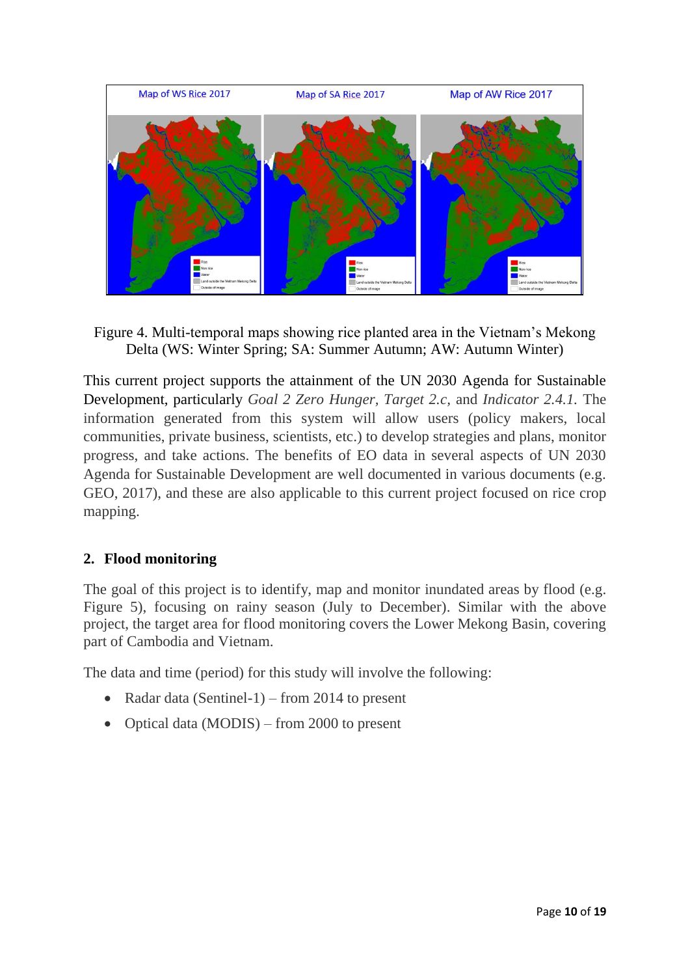

Figure 4. Multi-temporal maps showing rice planted area in the Vietnam's Mekong Delta (WS: Winter Spring; SA: Summer Autumn; AW: Autumn Winter)

This current project supports the attainment of the UN 2030 Agenda for Sustainable Development, particularly *Goal 2 Zero Hunger, Target 2.c,* and *Indicator 2.4.1.* The information generated from this system will allow users (policy makers, local communities, private business, scientists, etc.) to develop strategies and plans, monitor progress, and take actions. The benefits of EO data in several aspects of UN 2030 Agenda for Sustainable Development are well documented in various documents (e.g. GEO, 2017), and these are also applicable to this current project focused on rice crop mapping.

# **2. Flood monitoring**

The goal of this project is to identify, map and monitor inundated areas by flood (e.g. Figure 5), focusing on rainy season (July to December). Similar with the above project, the target area for flood monitoring covers the Lower Mekong Basin, covering part of Cambodia and Vietnam.

The data and time (period) for this study will involve the following:

- Radar data (Sentinel-1) from 2014 to present
- Optical data (MODIS) from 2000 to present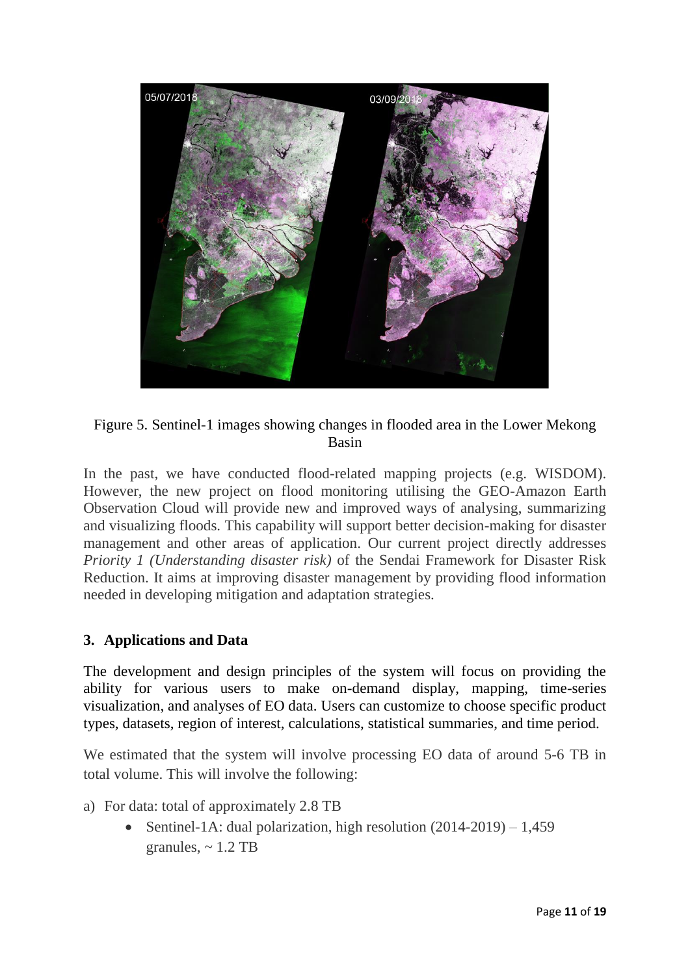

Figure 5. Sentinel-1 images showing changes in flooded area in the Lower Mekong Basin

In the past, we have conducted flood-related mapping projects (e.g. WISDOM). However, the new project on flood monitoring utilising the GEO-Amazon Earth Observation Cloud will provide new and improved ways of analysing, summarizing and visualizing floods. This capability will support better decision-making for disaster management and other areas of application. Our current project directly addresses *Priority 1 (Understanding disaster risk)* of the Sendai Framework for Disaster Risk Reduction. It aims at improving disaster management by providing flood information needed in developing mitigation and adaptation strategies.

### **3. Applications and Data**

The development and design principles of the system will focus on providing the ability for various users to make on-demand display, mapping, time-series visualization, and analyses of EO data. Users can customize to choose specific product types, datasets, region of interest, calculations, statistical summaries, and time period.

We estimated that the system will involve processing EO data of around 5-6 TB in total volume. This will involve the following:

- a) For data: total of approximately 2.8 TB
	- Sentinel-1A: dual polarization, high resolution  $(2014-2019) 1,459$ granules,  $\sim 1.2$  TB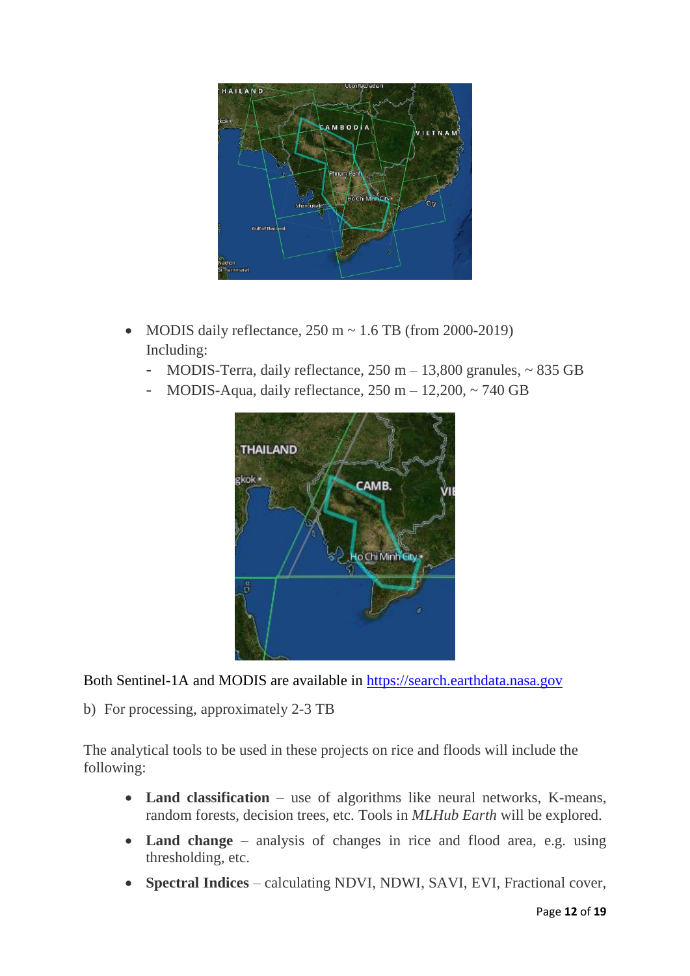

- MODIS daily reflectance,  $250 \text{ m} \sim 1.6 \text{ TB (from } 2000-2019)$ Including:
	- MODIS-Terra, daily reflectance,  $250 \text{ m} 13,800 \text{ granules}, \sim 835 \text{ GB}$
	- MODIS-Aqua, daily reflectance,  $250 \text{ m} 12{,}200$ ,  $\sim 740 \text{ GB}$



Both Sentinel-1A and MODIS are available in [https://search.earthdata.nasa.gov](https://search.earthdata.nasa.gov/)

b) For processing, approximately 2-3 TB

The analytical tools to be used in these projects on rice and floods will include the following:

- **Land classification** use of algorithms like neural networks, K-means, random forests, decision trees, etc. Tools in *MLHub Earth* will be explored.
- **Land change** analysis of changes in rice and flood area, e.g. using thresholding, etc.
- **Spectral Indices** calculating NDVI, NDWI, SAVI, EVI, Fractional cover,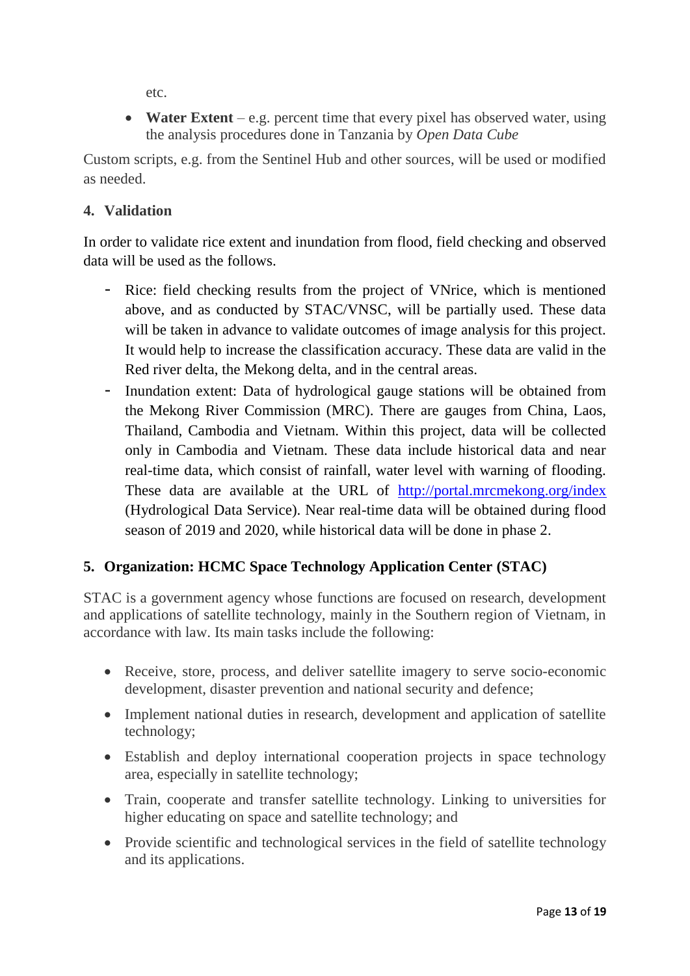etc.

• **Water Extent** – e.g. percent time that every pixel has observed water, using the analysis procedures done in Tanzania by *Open Data Cube*

Custom scripts, e.g. from the Sentinel Hub and other sources, will be used or modified as needed.

# **4. Validation**

In order to validate rice extent and inundation from flood, field checking and observed data will be used as the follows.

- Rice: field checking results from the project of VNrice, which is mentioned above, and as conducted by STAC/VNSC, will be partially used. These data will be taken in advance to validate outcomes of image analysis for this project. It would help to increase the classification accuracy. These data are valid in the Red river delta, the Mekong delta, and in the central areas.
- Inundation extent: Data of hydrological gauge stations will be obtained from the Mekong River Commission (MRC). There are gauges from China, Laos, Thailand, Cambodia and Vietnam. Within this project, data will be collected only in Cambodia and Vietnam. These data include historical data and near real-time data, which consist of rainfall, water level with warning of flooding. These data are available at the URL of <http://portal.mrcmekong.org/index> (Hydrological Data Service). Near real-time data will be obtained during flood season of 2019 and 2020, while historical data will be done in phase 2.

# **5. Organization: HCMC Space Technology Application Center (STAC)**

STAC is a government agency whose functions are focused on research, development and applications of satellite technology, mainly in the Southern region of Vietnam, in accordance with law. Its main tasks include the following:

- Receive, store, process, and deliver satellite imagery to serve socio-economic development, disaster prevention and national security and defence;
- Implement national duties in research, development and application of satellite technology;
- Establish and deploy international cooperation projects in space technology area, especially in satellite technology;
- Train, cooperate and transfer satellite technology. Linking to universities for higher educating on space and satellite technology; and
- Provide scientific and technological services in the field of satellite technology and its applications.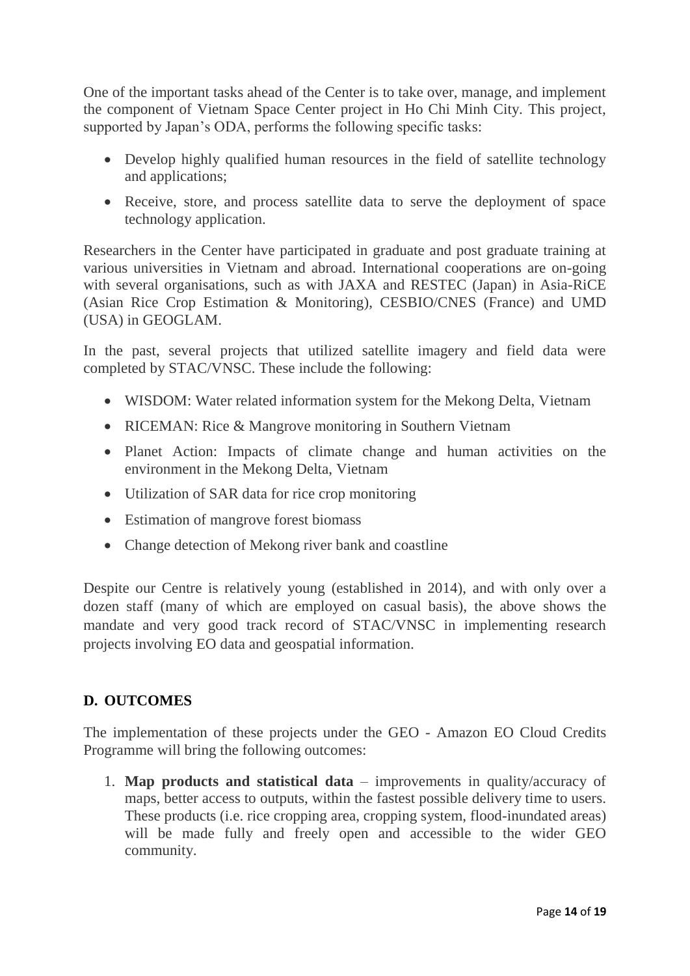One of the important tasks ahead of the Center is to take over, manage, and implement the component of Vietnam Space Center project in Ho Chi Minh City. This project, supported by Japan's ODA, performs the following specific tasks:

- Develop highly qualified human resources in the field of satellite technology and applications;
- Receive, store, and process satellite data to serve the deployment of space technology application.

Researchers in the Center have participated in graduate and post graduate training at various universities in Vietnam and abroad. International cooperations are on-going with several organisations, such as with JAXA and RESTEC (Japan) in Asia-RiCE (Asian Rice Crop Estimation & Monitoring), CESBIO/CNES (France) and UMD (USA) in GEOGLAM.

In the past, several projects that utilized satellite imagery and field data were completed by STAC/VNSC. These include the following:

- WISDOM: Water related information system for the Mekong Delta, Vietnam
- RICEMAN: Rice & Mangrove monitoring in Southern Vietnam
- Planet Action: Impacts of climate change and human activities on the environment in the Mekong Delta, Vietnam
- Utilization of SAR data for rice crop monitoring
- Estimation of mangrove forest biomass
- Change detection of Mekong river bank and coastline

Despite our Centre is relatively young (established in 2014), and with only over a dozen staff (many of which are employed on casual basis), the above shows the mandate and very good track record of STAC/VNSC in implementing research projects involving EO data and geospatial information.

### **D. OUTCOMES**

The implementation of these projects under the GEO - Amazon EO Cloud Credits Programme will bring the following outcomes:

1. **Map products and statistical data** – improvements in quality/accuracy of maps, better access to outputs, within the fastest possible delivery time to users. These products (i.e. rice cropping area, cropping system, flood-inundated areas) will be made fully and freely open and accessible to the wider GEO community.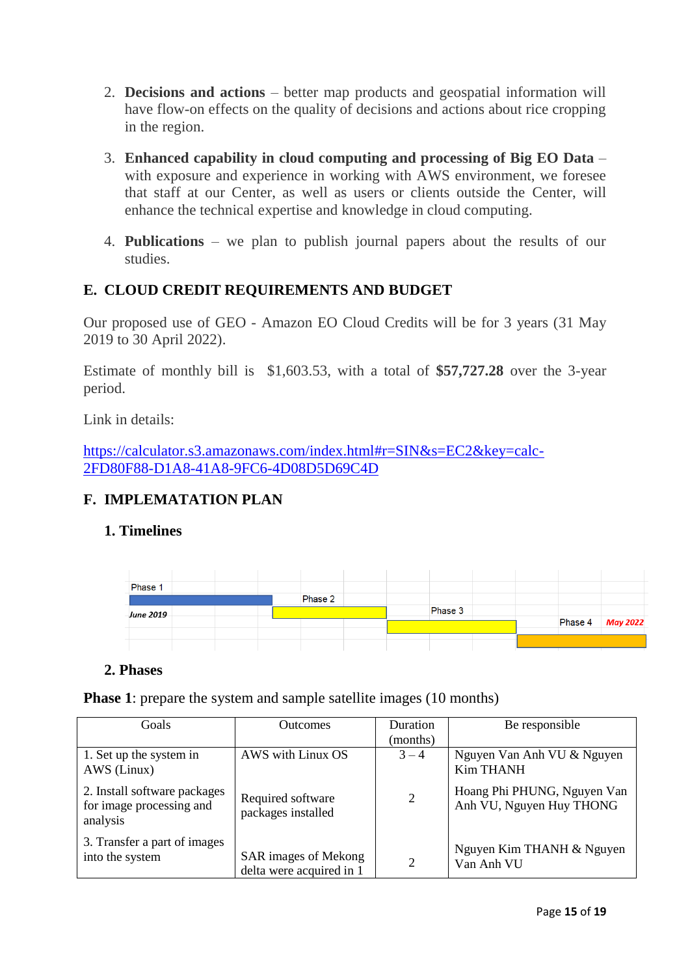- 2. **Decisions and actions** better map products and geospatial information will have flow-on effects on the quality of decisions and actions about rice cropping in the region.
- 3. **Enhanced capability in cloud computing and processing of Big EO Data** with exposure and experience in working with AWS environment, we foresee that staff at our Center, as well as users or clients outside the Center, will enhance the technical expertise and knowledge in cloud computing.
- 4. **Publications** we plan to publish journal papers about the results of our studies.

# **E. CLOUD CREDIT REQUIREMENTS AND BUDGET**

Our proposed use of GEO - Amazon EO Cloud Credits will be for 3 years (31 May 2019 to 30 April 2022).

Estimate of monthly bill is \$1,603.53, with a total of **\$57,727.28** over the 3-year period.

Link in details:

[https://calculator.s3.amazonaws.com/index.html#r=SIN&s=EC2&key=calc-](https://calculator.s3.amazonaws.com/index.html#r=SIN&s=EC2&key=calc-2FD80F88-D1A8-41A8-9FC6-4D08D5D69C4D)[2FD80F88-D1A8-41A8-9FC6-4D08D5D69C4D](https://calculator.s3.amazonaws.com/index.html#r=SIN&s=EC2&key=calc-2FD80F88-D1A8-41A8-9FC6-4D08D5D69C4D)

# **F. IMPLEMATATION PLAN**

### **1. Timelines**

| Phase 1          |         |  |         |  |         |                 |
|------------------|---------|--|---------|--|---------|-----------------|
|                  | Phase 2 |  |         |  |         |                 |
| <b>June 2019</b> |         |  | Phase 3 |  |         |                 |
|                  |         |  |         |  | Phase 4 | <b>May 2022</b> |
|                  |         |  |         |  |         |                 |

### **2. Phases**

**Phase 1**: prepare the system and sample satellite images (10 months)

| Goals                                                                | <b>Outcomes</b>                                  | Duration                    | Be responsible                                          |
|----------------------------------------------------------------------|--------------------------------------------------|-----------------------------|---------------------------------------------------------|
|                                                                      |                                                  | (months)                    |                                                         |
| 1. Set up the system in<br>AWS (Linux)                               | AWS with Linux OS                                | $3 - 4$                     | Nguyen Van Anh VU & Nguyen<br>Kim THANH                 |
| 2. Install software packages<br>for image processing and<br>analysis | Required software<br>packages installed          | $\overline{2}$              | Hoang Phi PHUNG, Nguyen Van<br>Anh VU, Nguyen Huy THONG |
| 3. Transfer a part of images<br>into the system                      | SAR images of Mekong<br>delta were acquired in 1 | $\mathcal{D}_{\mathcal{L}}$ | Nguyen Kim THANH & Nguyen<br>Van Anh VU                 |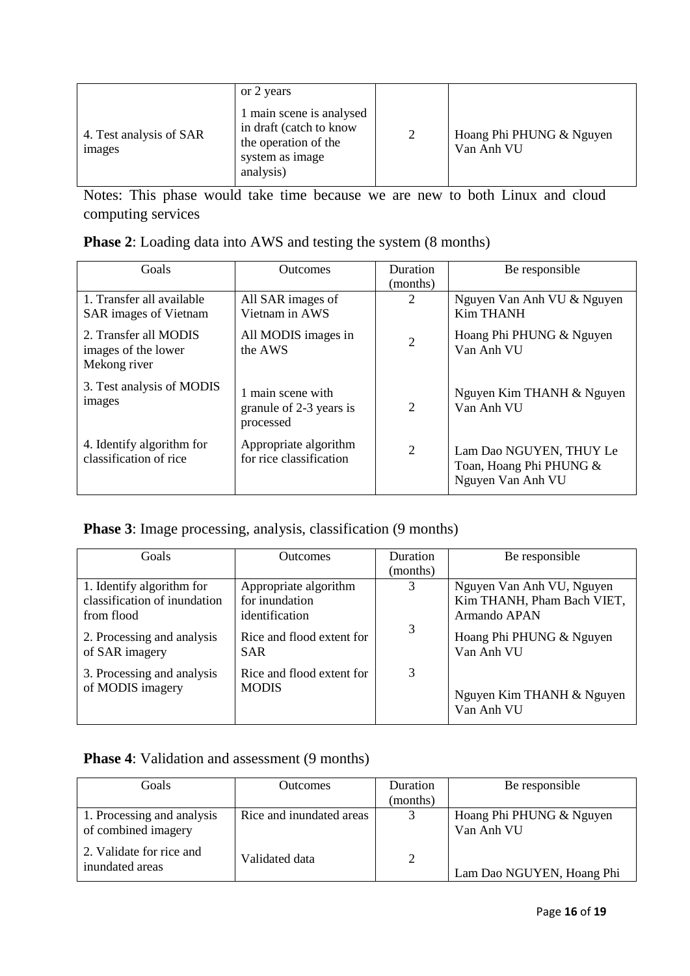| 4. Test analysis of SAR<br>images | or 2 years<br>1 main scene is analysed<br>in draft (catch to know<br>the operation of the<br>system as image<br>analysis) | 2 | Hoang Phi PHUNG & Nguyen<br>Van Anh VU |
|-----------------------------------|---------------------------------------------------------------------------------------------------------------------------|---|----------------------------------------|
|                                   |                                                                                                                           |   |                                        |

Notes: This phase would take time because we are new to both Linux and cloud computing services

|  |  | <b>Phase 2:</b> Loading data into AWS and testing the system (8 months) |  |
|--|--|-------------------------------------------------------------------------|--|
|--|--|-------------------------------------------------------------------------|--|

| Goals                                                        | <b>Outcomes</b>                                           | Duration<br>(months) | Be responsible                                                          |
|--------------------------------------------------------------|-----------------------------------------------------------|----------------------|-------------------------------------------------------------------------|
| 1. Transfer all available<br><b>SAR</b> images of Vietnam    | All SAR images of<br>Vietnam in AWS                       | 2                    | Nguyen Van Anh VU & Nguyen<br>Kim THANH                                 |
| 2. Transfer all MODIS<br>images of the lower<br>Mekong river | All MODIS images in<br>the AWS                            | $\overline{2}$       | Hoang Phi PHUNG & Nguyen<br>Van Anh VU                                  |
| 3. Test analysis of MODIS<br>images                          | 1 main scene with<br>granule of 2-3 years is<br>processed | $\overline{2}$       | Nguyen Kim THANH & Nguyen<br>Van Anh VU                                 |
| 4. Identify algorithm for<br>classification of rice          | Appropriate algorithm<br>for rice classification          | $\overline{2}$       | Lam Dao NGUYEN, THUY Le<br>Toan, Hoang Phi PHUNG &<br>Nguyen Van Anh VU |

# **Phase 3**: Image processing, analysis, classification (9 months)

| Goals                                          | <b>Outcomes</b>                           | Duration | Be responsible                          |
|------------------------------------------------|-------------------------------------------|----------|-----------------------------------------|
|                                                |                                           | (months) |                                         |
| 1. Identify algorithm for                      | Appropriate algorithm                     | 3        | Nguyen Van Anh VU, Nguyen               |
| classification of inundation                   | for inundation                            |          | Kim THANH, Pham Bach VIET,              |
| from flood                                     | identification                            |          | Armando APAN                            |
| 2. Processing and analysis<br>of SAR imagery   | Rice and flood extent for<br><b>SAR</b>   | 3        | Hoang Phi PHUNG & Nguyen<br>Van Anh VU  |
| 3. Processing and analysis<br>of MODIS imagery | Rice and flood extent for<br><b>MODIS</b> | 3        | Nguyen Kim THANH & Nguyen<br>Van Anh VU |

# **Phase 4**: Validation and assessment (9 months)

| Goals                                             | <b>Outcomes</b>          | Duration | Be responsible                         |
|---------------------------------------------------|--------------------------|----------|----------------------------------------|
|                                                   |                          | (months) |                                        |
| 1. Processing and analysis<br>of combined imagery | Rice and inundated areas | 3        | Hoang Phi PHUNG & Nguyen<br>Van Anh VU |
| 2. Validate for rice and<br>inundated areas       | Validated data           | 2        | Lam Dao NGUYEN, Hoang Phi              |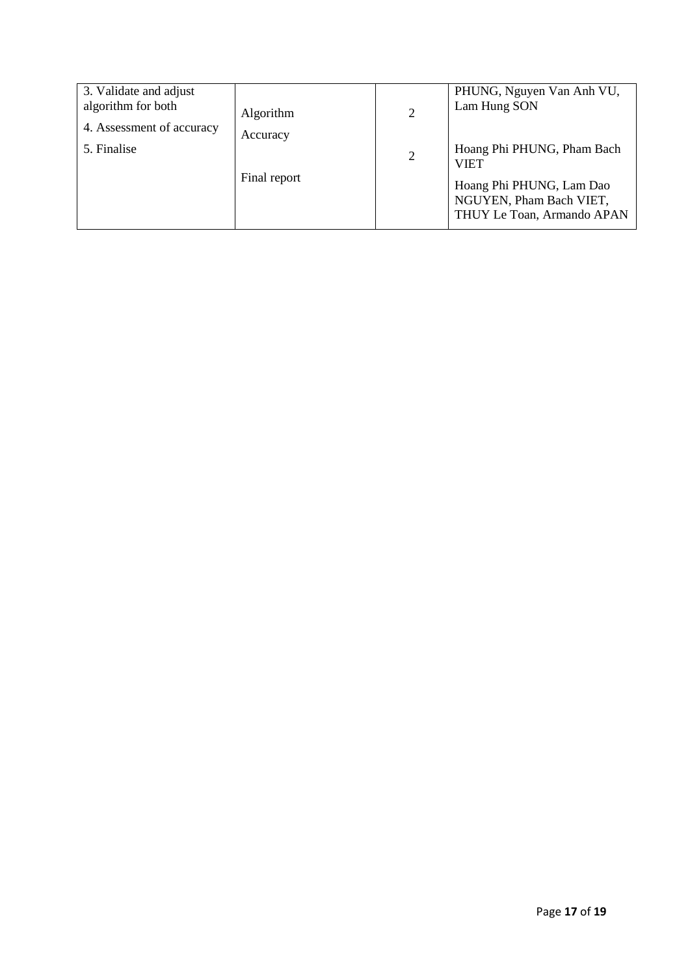| 3. Validate and adjust    |              |   | PHUNG, Nguyen Van Anh VU,                                                         |
|---------------------------|--------------|---|-----------------------------------------------------------------------------------|
| algorithm for both        | Algorithm    | 2 | Lam Hung SON                                                                      |
| 4. Assessment of accuracy | Accuracy     |   |                                                                                   |
| 5. Finalise               |              | 2 | Hoang Phi PHUNG, Pham Bach<br><b>VIET</b>                                         |
|                           | Final report |   | Hoang Phi PHUNG, Lam Dao<br>NGUYEN, Pham Bach VIET,<br>THUY Le Toan, Armando APAN |
|                           |              |   |                                                                                   |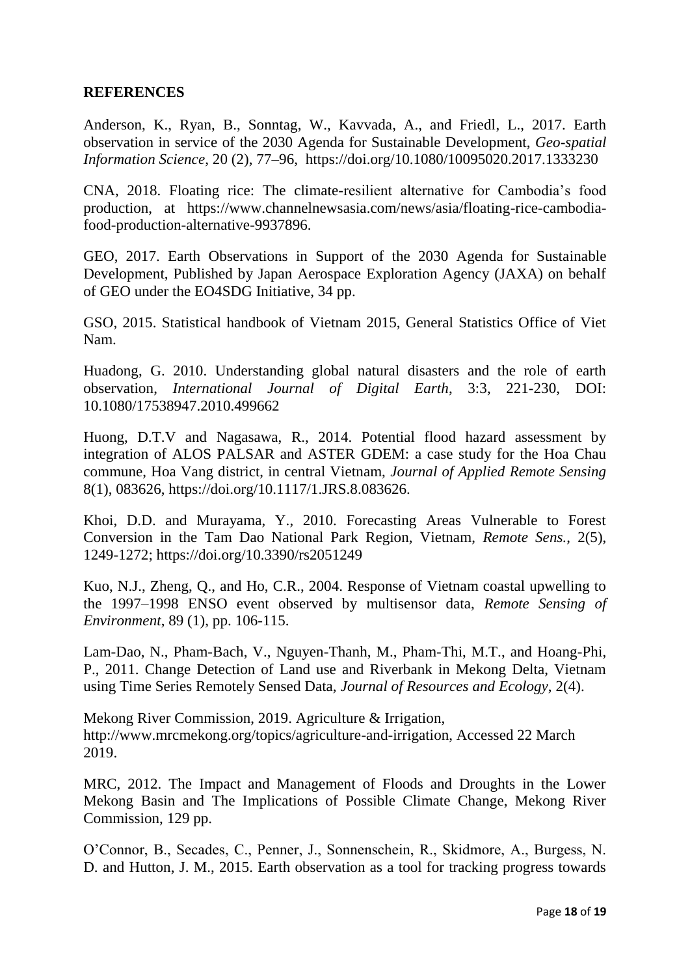#### **REFERENCES**

Anderson, K., Ryan, B., Sonntag, W., Kavvada, A., and Friedl, L., 2017. Earth observation in service of the 2030 Agenda for Sustainable Development, *Geo-spatial Information Science*, 20 (2), 77–96, <https://doi.org/10.1080/10095020.2017.1333230>

CNA, 2018. Floating rice: The climate-resilient alternative for Cambodia's food production, at https://www.channelnewsasia.com/news/asia/floating-rice-cambodiafood-production-alternative-9937896.

GEO, 2017. Earth Observations in Support of the 2030 Agenda for Sustainable Development, Published by Japan Aerospace Exploration Agency (JAXA) on behalf of GEO under the EO4SDG Initiative, 34 pp.

GSO, 2015. Statistical handbook of Vietnam 2015, General Statistics Office of Viet Nam.

Huadong, G. 2010. Understanding global natural disasters and the role of earth observation, *International Journal of Digital Earth*, 3:3, 221-230, DOI: 10.1080/17538947.2010.499662

Huong, D.T.V and Nagasawa, R., 2014. Potential flood hazard assessment by integration of ALOS PALSAR and ASTER GDEM: a case study for the Hoa Chau commune, Hoa Vang district, in central Vietnam, *Journal of Applied Remote Sensing* 8(1), 083626, https://doi.org/10.1117/1.JRS.8.083626.

Khoi, D.D. and Murayama, Y., 2010. Forecasting Areas Vulnerable to Forest Conversion in the Tam Dao National Park Region, Vietnam, *Remote Sens.*, 2(5), 1249-1272; https://doi.org/10.3390/rs2051249

Kuo, N.J., Zheng, Q., and Ho, C.R., 2004. Response of Vietnam coastal upwelling to the 1997–1998 ENSO event observed by multisensor data, *Remote Sensing of Environment*, 89 (1), pp. 106-115.

Lam-Dao, N., Pham-Bach, V., Nguyen-Thanh, M., Pham-Thi, M.T., and Hoang-Phi, P., 2011. Change Detection of Land use and Riverbank in Mekong Delta, Vietnam using Time Series Remotely Sensed Data, *Journal of Resources and Ecology*, 2(4).

Mekong River Commission, 2019. Agriculture & Irrigation, http://www.mrcmekong.org/topics/agriculture-and-irrigation, Accessed 22 March 2019.

MRC, 2012. The Impact and Management of Floods and Droughts in the Lower Mekong Basin and The Implications of Possible Climate Change, Mekong River Commission, 129 pp.

O'Connor, B., Secades, C., Penner, J., Sonnenschein, R., Skidmore, A., Burgess, N. D. and Hutton, J. M., 2015. Earth observation as a tool for tracking progress towards